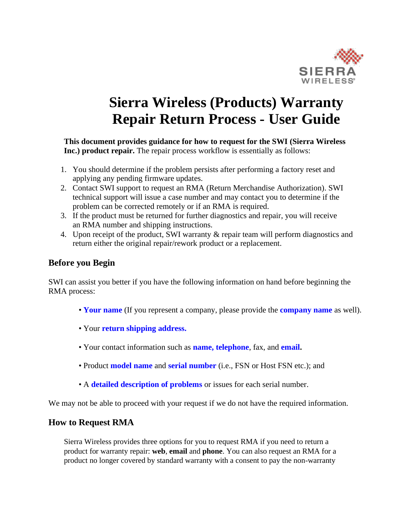

# <span id="page-0-0"></span>**Sierra Wireless (Products) Warranty Repair Return Process - User Guide**

**This document provides guidance for how to request for the SWI (Sierra Wireless Inc.) product repair.** The repair process workflow is essentially as follows:

- 1. You should determine if the problem persists after performing a factory reset and applying any pending firmware updates.
- 2. Contact SWI support to request an RMA (Return Merchandise Authorization). SWI technical support will issue a case number and may contact you to determine if the problem can be corrected remotely or if an RMA is required.
- 3. If the product must be returned for further diagnostics and repair, you will receive an RMA number and shipping instructions.
- 4. Upon receipt of the product, SWI warranty & repair team will perform diagnostics and return either the original repair/rework product or a replacement.

# **Before you Begin**

SWI can assist you better if you have the following information on hand before beginning the RMA process:

- **Your name** (If you represent a company, please provide the **company name** as well).
- Your **return shipping address.**
- Your contact information such as **name, telephone**, fax, and **email.**
- Product **model name** and **serial number** (i.e., FSN or Host FSN etc.); and
- A **detailed description of problems** or issues for each serial number.

We may not be able to proceed with your request if we do not have the required information.

## **How to Request RMA**

Sierra Wireless provides three options for you to request RMA if you need to return a product for warranty repair: **web**, **email** and **phone**. You can also request an RMA for a product no longer covered by standard warranty with a consent to pay the non-warranty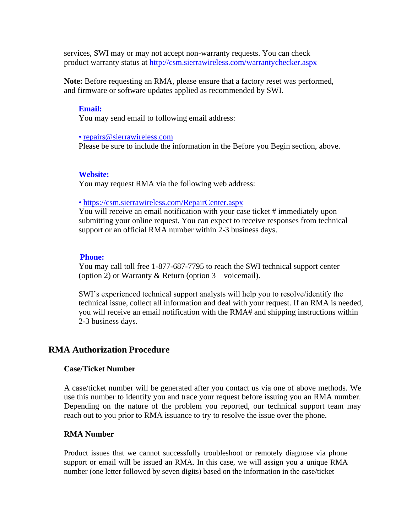services, SWI may or may not accept non-warranty requests. You can check product warranty status at <http://csm.sierrawireless.com/warrantychecker.aspx>

**Note:** Before requesting an RMA, please ensure that a factory reset was performed, and firmware or software updates applied as recommended by SWI.

#### **Email:**

You may send email to following email address:

• [repairs@sierrawireless.com](mailto:repairs@sierrawireless.com)

Please be sure to include the information in the [Before you Begin s](#page-0-0)ection, above.

#### **Website:**

You may request RMA via the following web address:

• <https://csm.sierrawireless.com/RepairCenter.aspx>

You will receive an email notification with your case ticket # immediately upon submitting your online request. You can expect to receive responses from technical support or an official RMA number within 2-3 business days.

#### **Phone:**

You may call toll free 1-877-687-7795 to reach the SWI technical support center (option 2) or Warranty & Return (option  $3$  – voicemail).

SWI's experienced technical support analysts will help you to resolve/identify the technical issue, collect all information and deal with your request. If an RMA is needed, you will receive an email notification with the RMA# and shipping instructions within 2-3 business days.

## **RMA Authorization Procedure**

#### **Case/Ticket Number**

A case/ticket number will be generated after you contact us via one of above methods. We use this number to identify you and trace your request before issuing you an RMA number. Depending on the nature of the problem you reported, our technical support team may reach out to you prior to RMA issuance to try to resolve the issue over the phone.

#### **RMA Number**

Product issues that we cannot successfully troubleshoot or remotely diagnose via phone support or email will be issued an RMA. In this case, we will assign you a unique RMA number (one letter followed by seven digits) based on the information in the case/ticket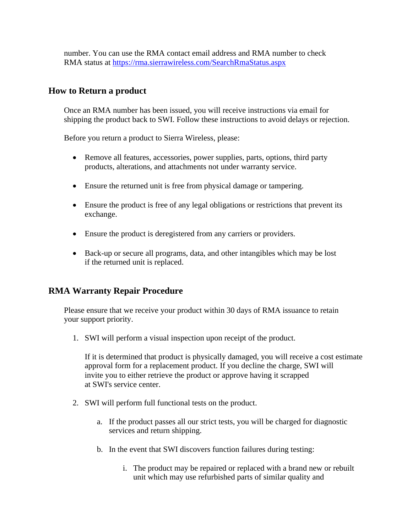number. You can use the RMA contact email address and RMA number to check RMA status at https://rma.sierrawireless.com/SearchRmaStatus.aspx

## **How to Return a product**

Once an RMA number has been issued, you will receive instructions via email for shipping the product back to SWI. Follow these instructions to avoid delays or rejection.

Before you return a product to Sierra Wireless, please:

- Remove all features, accessories, power supplies, parts, options, third party products, alterations, and attachments not under warranty service.
- Ensure the returned unit is free from physical damage or tampering.
- Ensure the product is free of any legal obligations or restrictions that prevent its exchange.
- Ensure the product is deregistered from any carriers or providers.
- Back-up or secure all programs, data, and other intangibles which may be lost if the returned unit is replaced.

## **RMA Warranty Repair Procedure**

Please ensure that we receive your product within 30 days of RMA issuance to retain your support priority.

1. SWI will perform a visual inspection upon receipt of the product.

If it is determined that product is physically damaged, you will receive a cost estimate approval form for a replacement product. If you decline the charge, SWI will invite you to either retrieve the product or approve having it scrapped at SWI's service center.

- 2. SWI will perform full functional tests on the product.
	- a. If the product passes all our strict tests, you will be charged for diagnostic services and return shipping.
	- b. In the event that SWI discovers function failures during testing:
		- i. The product may be repaired or replaced with a brand new or rebuilt unit which may use refurbished parts of similar quality and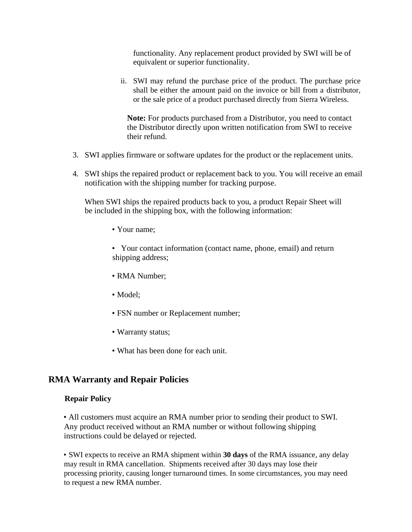functionality. Any replacement product provided by SWI will be of equivalent or superior functionality.

ii. SWI may refund the purchase price of the product. The purchase price shall be either the amount paid on the invoice or bill from a distributor, or the sale price of a product purchased directly from Sierra Wireless.

**Note:** For products purchased from a Distributor, you need to contact the Distributor directly upon written notification from SWI to receive their refund.

- 3. SWI applies firmware or software updates for the product or the replacement units.
- 4. SWI ships the repaired product or replacement back to you. You will receive an email notification with the shipping number for tracking purpose.

When SWI ships the repaired products back to you, a product Repair Sheet will be included in the shipping box, with the following information:

• Your name;

• Your contact information (contact name, phone, email) and return shipping address;

- RMA Number;
- Model;
- FSN number or Replacement number;
- Warranty status;
- What has been done for each unit.

## **RMA Warranty and Repair Policies**

### **Repair Policy**

• All customers must acquire an RMA number prior to sending their product to SWI. Any product received without an RMA number or without following shipping instructions could be delayed or rejected.

• SWI expects to receive an RMA shipment within **30 days** of the RMA issuance, any delay may result in RMA cancellation. Shipments received after 30 days may lose their processing priority, causing longer turnaround times. In some circumstances, you may need to request a new RMA number.